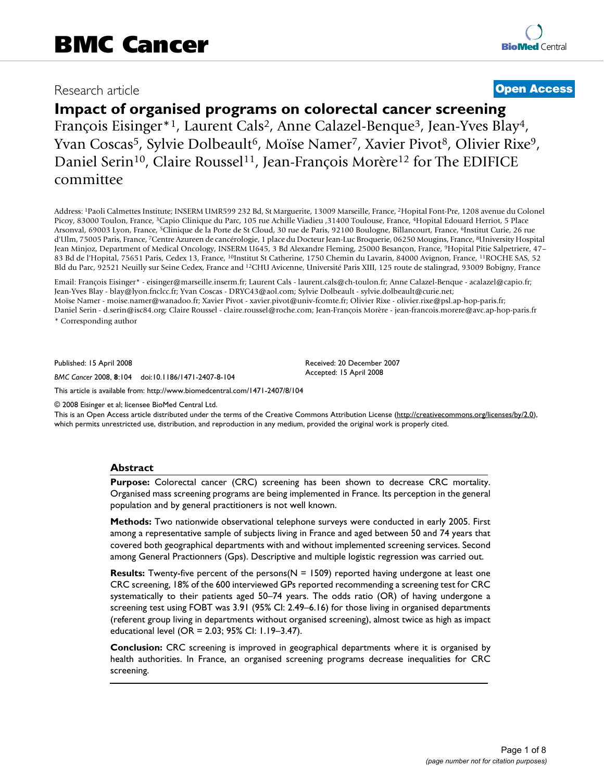## Research article **[Open Access](http://www.biomedcentral.com/info/about/charter/)**

# **Impact of organised programs on colorectal cancer screening**

François Eisinger\*1, Laurent Cals2, Anne Calazel-Benque3, Jean-Yves Blay4, Yvan Coscas<sup>5</sup>, Sylvie Dolbeault<sup>6</sup>, Moïse Namer<sup>7</sup>, Xavier Pivot<sup>8</sup>, Olivier Rixe<sup>9</sup>, Daniel Serin<sup>10</sup>, Claire Roussel<sup>11</sup>, Jean-François Morère<sup>12</sup> for The EDIFICE committee

Address: 1Paoli Calmettes Institute; INSERM UMR599 232 Bd, St Marguerite, 13009 Marseille, France, 2Hopital Font-Pre, 1208 avenue du Colonel Picoy, 83000 Toulon, France, 3Capio Clinique du Parc, 105 rue Achille Viadieu ,31400 Toulouse, France, 4Hopital Edouard Herriot, 5 Place Arsonval, 69003 Lyon, France, 5Clinique de la Porte de St Cloud, 30 rue de Paris, 92100 Boulogne, Billancourt, France, 6Institut Curie, 26 rue d'Ulm, 75005 Paris, France, <sup>7</sup>Centre Azureen de cancérologie, 1 place du Docteur Jean-Luc Broquerie, 06250 Mougins, France, <sup>8</sup>University Hospital Jean Minjoz, Department of Medical Oncology, INSERM U645, 3 Bd Alexandre Fleming, 25000 Besançon, France, 9Hopital Pitie Salpetriere, 47– 83 Bd de l'Hopital, 75651 Paris, Cedex 13, France, 10Institut St Catherine, 1750 Chemin du Lavarin, 84000 Avignon, France, 11ROCHE SAS, 52 Bld du Parc, 92521 Neuilly sur Seine Cedex, France and 12CHU Avicenne, Université Paris XIII, 125 route de stalingrad, 93009 Bobigny, France

Email: François Eisinger\* - eisinger@marseille.inserm.fr; Laurent Cals - laurent.cals@ch-toulon.fr; Anne Calazel-Benque - acalazel@capio.fr; Jean-Yves Blay - blay@lyon.fnclcc.fr; Yvan Coscas - DRYC43@aol.com; Sylvie Dolbeault - sylvie.dolbeault@curie.net; Moïse Namer - moise.namer@wanadoo.fr; Xavier Pivot - xavier.pivot@univ-fcomte.fr; Olivier Rixe - olivier.rixe@psl.ap-hop-paris.fr; Daniel Serin - d.serin@isc84.org; Claire Roussel - claire.roussel@roche.com; Jean-François Morère - jean-francois.morere@avc.ap-hop-paris.fr

\* Corresponding author

Published: 15 April 2008

*BMC Cancer* 2008, **8**:104 doi:10.1186/1471-2407-8-104

Accepted: 15 April 2008

Received: 20 December 2007

[This article is available from: http://www.biomedcentral.com/1471-2407/8/104](http://www.biomedcentral.com/1471-2407/8/104)

© 2008 Eisinger et al; licensee BioMed Central Ltd.

This is an Open Access article distributed under the terms of the Creative Commons Attribution License [\(http://creativecommons.org/licenses/by/2.0\)](http://creativecommons.org/licenses/by/2.0), which permits unrestricted use, distribution, and reproduction in any medium, provided the original work is properly cited.

#### **Abstract**

**Purpose:** Colorectal cancer (CRC) screening has been shown to decrease CRC mortality. Organised mass screening programs are being implemented in France. Its perception in the general population and by general practitioners is not well known.

**Methods:** Two nationwide observational telephone surveys were conducted in early 2005. First among a representative sample of subjects living in France and aged between 50 and 74 years that covered both geographical departments with and without implemented screening services. Second among General Practionners (Gps). Descriptive and multiple logistic regression was carried out.

**Results:** Twenty-five percent of the persons(N = 1509) reported having undergone at least one CRC screening, 18% of the 600 interviewed GPs reported recommending a screening test for CRC systematically to their patients aged 50–74 years. The odds ratio (OR) of having undergone a screening test using FOBT was 3.91 (95% CI: 2.49–6.16) for those living in organised departments (referent group living in departments without organised screening), almost twice as high as impact educational level (OR = 2.03; 95% CI: 1.19–3.47).

**Conclusion:** CRC screening is improved in geographical departments where it is organised by health authorities. In France, an organised screening programs decrease inequalities for CRC screening.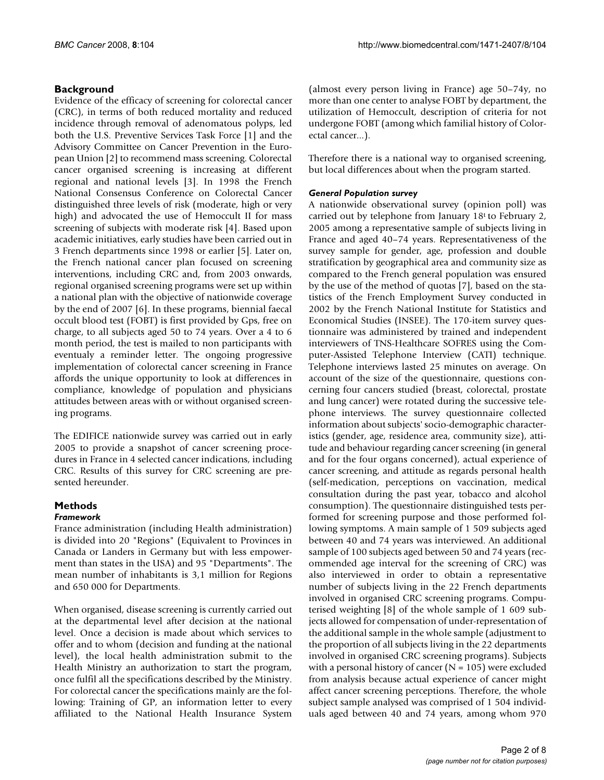### **Background**

Evidence of the efficacy of screening for colorectal cancer (CRC), in terms of both reduced mortality and reduced incidence through removal of adenomatous polyps, led both the U.S. Preventive Services Task Force [1] and the Advisory Committee on Cancer Prevention in the European Union [2] to recommend mass screening. Colorectal cancer organised screening is increasing at different regional and national levels [3]. In 1998 the French National Consensus Conference on Colorectal Cancer distinguished three levels of risk (moderate, high or very high) and advocated the use of Hemoccult II for mass screening of subjects with moderate risk [4]. Based upon academic initiatives, early studies have been carried out in 3 French departments since 1998 or earlier [5]. Later on, the French national cancer plan focused on screening interventions, including CRC and, from 2003 onwards, regional organised screening programs were set up within a national plan with the objective of nationwide coverage by the end of 2007 [6]. In these programs, biennial faecal occult blood test (FOBT) is first provided by Gps, free on charge, to all subjects aged 50 to 74 years. Over a 4 to 6 month period, the test is mailed to non participants with eventualy a reminder letter. The ongoing progressive implementation of colorectal cancer screening in France affords the unique opportunity to look at differences in compliance, knowledge of population and physicians attitudes between areas with or without organised screening programs.

The EDIFICE nationwide survey was carried out in early 2005 to provide a snapshot of cancer screening procedures in France in 4 selected cancer indications, including CRC. Results of this survey for CRC screening are presented hereunder.

# **Methods**

#### *Framework*

France administration (including Health administration) is divided into 20 "Regions" (Equivalent to Provinces in Canada or Landers in Germany but with less empowerment than states in the USA) and 95 "Departments". The mean number of inhabitants is 3,1 million for Regions and 650 000 for Departments.

When organised, disease screening is currently carried out at the departmental level after decision at the national level. Once a decision is made about which services to offer and to whom (decision and funding at the national level), the local health administration submit to the Health Ministry an authorization to start the program, once fulfil all the specifications described by the Ministry. For colorectal cancer the specifications mainly are the following: Training of GP, an information letter to every affiliated to the National Health Insurance System

(almost every person living in France) age 50–74y, no more than one center to analyse FOBT by department, the utilization of Hemoccult, description of criteria for not undergone FOBT (among which familial history of Colorectal cancer...).

Therefore there is a national way to organised screening, but local differences about when the program started.

#### *General Population survey*

A nationwide observational survey (opinion poll) was carried out by telephone from January 18t to February 2, 2005 among a representative sample of subjects living in France and aged 40–74 years. Representativeness of the survey sample for gender, age, profession and double stratification by geographical area and community size as compared to the French general population was ensured by the use of the method of quotas [7], based on the statistics of the French Employment Survey conducted in 2002 by the French National Institute for Statistics and Economical Studies (INSEE). The 170-item survey questionnaire was administered by trained and independent interviewers of TNS-Healthcare SOFRES using the Computer-Assisted Telephone Interview (CATI) technique. Telephone interviews lasted 25 minutes on average. On account of the size of the questionnaire, questions concerning four cancers studied (breast, colorectal, prostate and lung cancer) were rotated during the successive telephone interviews. The survey questionnaire collected information about subjects' socio-demographic characteristics (gender, age, residence area, community size), attitude and behaviour regarding cancer screening (in general and for the four organs concerned), actual experience of cancer screening, and attitude as regards personal health (self-medication, perceptions on vaccination, medical consultation during the past year, tobacco and alcohol consumption). The questionnaire distinguished tests performed for screening purpose and those performed following symptoms. A main sample of 1 509 subjects aged between 40 and 74 years was interviewed. An additional sample of 100 subjects aged between 50 and 74 years (recommended age interval for the screening of CRC) was also interviewed in order to obtain a representative number of subjects living in the 22 French departments involved in organised CRC screening programs. Computerised weighting [8] of the whole sample of 1 609 subjects allowed for compensation of under-representation of the additional sample in the whole sample (adjustment to the proportion of all subjects living in the 22 departments involved in organised CRC screening programs). Subjects with a personal history of cancer  $(N = 105)$  were excluded from analysis because actual experience of cancer might affect cancer screening perceptions. Therefore, the whole subject sample analysed was comprised of 1 504 individuals aged between 40 and 74 years, among whom 970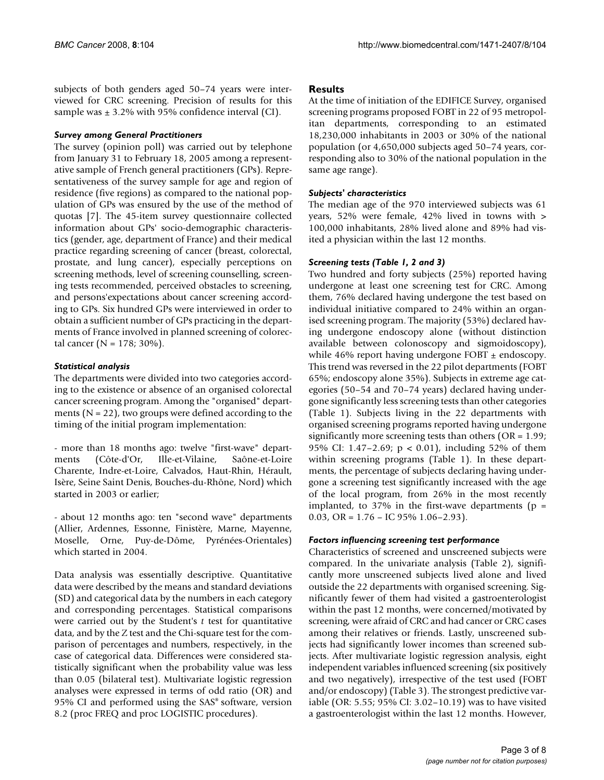subjects of both genders aged 50–74 years were interviewed for CRC screening. Precision of results for this sample was  $\pm$  3.2% with 95% confidence interval (CI).

#### *Survey among General Practitioners*

The survey (opinion poll) was carried out by telephone from January 31 to February 18, 2005 among a representative sample of French general practitioners (GPs). Representativeness of the survey sample for age and region of residence (five regions) as compared to the national population of GPs was ensured by the use of the method of quotas [7]. The 45-item survey questionnaire collected information about GPs' socio-demographic characteristics (gender, age, department of France) and their medical practice regarding screening of cancer (breast, colorectal, prostate, and lung cancer), especially perceptions on screening methods, level of screening counselling, screening tests recommended, perceived obstacles to screening, and persons'expectations about cancer screening according to GPs. Six hundred GPs were interviewed in order to obtain a sufficient number of GPs practicing in the departments of France involved in planned screening of colorectal cancer ( $N = 178$ ; 30%).

#### *Statistical analysis*

The departments were divided into two categories according to the existence or absence of an organised colorectal cancer screening program. Among the "organised" departments  $(N = 22)$ , two groups were defined according to the timing of the initial program implementation:

- more than 18 months ago: twelve "first-wave" departments (Côte-d'Or, Ille-et-Vilaine, Saône-et-Loire Charente, Indre-et-Loire, Calvados, Haut-Rhin, Hérault, Isère, Seine Saint Denis, Bouches-du-Rhône, Nord) which started in 2003 or earlier;

- about 12 months ago: ten "second wave" departments (Allier, Ardennes, Essonne, Finistère, Marne, Mayenne, Moselle, Orne, Puy-de-Dôme, Pyrénées-Orientales) which started in 2004.

Data analysis was essentially descriptive. Quantitative data were described by the means and standard deviations (SD) and categorical data by the numbers in each category and corresponding percentages. Statistical comparisons were carried out by the Student's *t* test for quantitative data, and by the Z test and the Chi-square test for the comparison of percentages and numbers, respectively, in the case of categorical data. Differences were considered statistically significant when the probability value was less than 0.05 (bilateral test). Multivariate logistic regression analyses were expressed in terms of odd ratio (OR) and 95% CI and performed using the SAS® software, version 8.2 (proc FREQ and proc LOGISTIC procedures).

#### **Results**

At the time of initiation of the EDIFICE Survey, organised screening programs proposed FOBT in 22 of 95 metropolitan departments, corresponding to an estimated 18,230,000 inhabitants in 2003 or 30% of the national population (or 4,650,000 subjects aged 50–74 years, corresponding also to 30% of the national population in the same age range).

#### *Subjects' characteristics*

The median age of the 970 interviewed subjects was 61 years, 52% were female, 42% lived in towns with > 100,000 inhabitants, 28% lived alone and 89% had visited a physician within the last 12 months.

#### *Screening tests (Table 1, 2 and 3)*

Two hundred and forty subjects (25%) reported having undergone at least one screening test for CRC. Among them, 76% declared having undergone the test based on individual initiative compared to 24% within an organised screening program. The majority (53%) declared having undergone endoscopy alone (without distinction available between colonoscopy and sigmoidoscopy), while 46% report having undergone FOBT  $\pm$  endoscopy. This trend was reversed in the 22 pilot departments (FOBT 65%; endoscopy alone 35%). Subjects in extreme age categories (50–54 and 70–74 years) declared having undergone significantly less screening tests than other categories (Table 1). Subjects living in the 22 departments with organised screening programs reported having undergone significantly more screening tests than others ( $OR = 1.99$ ; 95% CI: 1.47–2.69; p < 0.01), including 52% of them within screening programs (Table 1). In these departments, the percentage of subjects declaring having undergone a screening test significantly increased with the age of the local program, from 26% in the most recently implanted, to 37% in the first-wave departments ( $p =$ 0.03, OR =  $1.76 -$ IC 95% 1.06-2.93).

#### *Factors influencing screening test performance*

Characteristics of screened and unscreened subjects were compared. In the univariate analysis (Table 2), significantly more unscreened subjects lived alone and lived outside the 22 departments with organised screening. Significantly fewer of them had visited a gastroenterologist within the past 12 months, were concerned/motivated by screening, were afraid of CRC and had cancer or CRC cases among their relatives or friends. Lastly, unscreened subjects had significantly lower incomes than screened subjects. After multivariate logistic regression analysis, eight independent variables influenced screening (six positively and two negatively), irrespective of the test used (FOBT and/or endoscopy) (Table 3). The strongest predictive variable (OR: 5.55; 95% CI: 3.02–10.19) was to have visited a gastroenterologist within the last 12 months. However,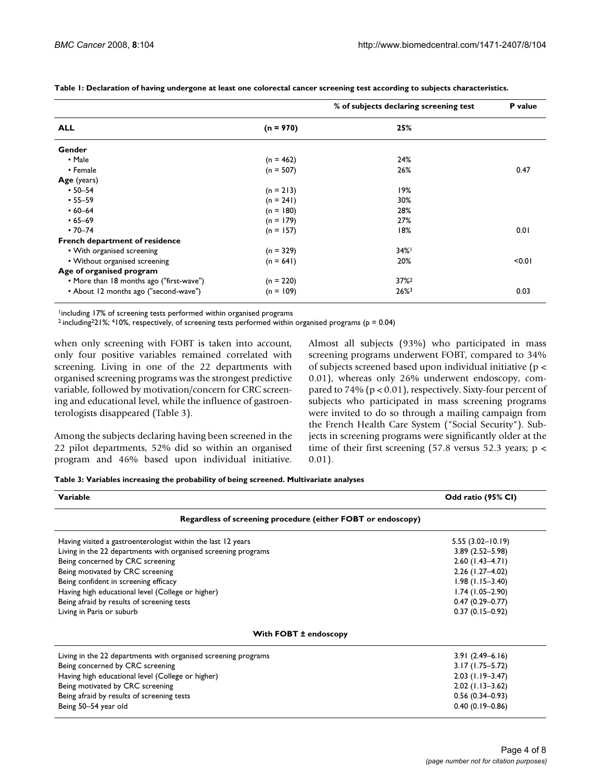|                                          |             | % of subjects declaring screening test | P value |
|------------------------------------------|-------------|----------------------------------------|---------|
| <b>ALL</b>                               | $(n = 970)$ | 25%                                    |         |
| Gender                                   |             |                                        |         |
| • Male                                   | $(n = 462)$ | 24%                                    |         |
| • Female                                 | $(n = 507)$ | 26%                                    | 0.47    |
| Age (years)                              |             |                                        |         |
| $• 50 - 54$                              | $(n = 213)$ | 19%                                    |         |
| $• 55 - 59$                              | $(n = 241)$ | 30%                                    |         |
| $.60 - 64$                               | $(n = 180)$ | 28%                                    |         |
| $•65-69$                                 | $(n = 179)$ | 27%                                    |         |
| $\cdot$ 70–74                            | $(n = 157)$ | 18%                                    | 0.01    |
| French department of residence           |             |                                        |         |
| • With organised screening               | $(n = 329)$ | 34%                                    |         |
| • Without organised screening            | $(n = 641)$ | 20%                                    | < 0.01  |
| Age of organised program                 |             |                                        |         |
| • More than 18 months ago ("first-wave") | $(n = 220)$ | $37\%$ <sup>2</sup>                    |         |
| • About 12 months ago ("second-wave")    | $(n = 109)$ | $26%^{3}$                              | 0.03    |

**Table 1: Declaration of having undergone at least one colorectal cancer screening test according to subjects characteristics.**

1including 17% of screening tests performed within organised programs

2 including221%; 410%, respectively, of screening tests performed within organised programs (p = 0.04)

when only screening with FOBT is taken into account, only four positive variables remained correlated with screening. Living in one of the 22 departments with organised screening programs was the strongest predictive variable, followed by motivation/concern for CRC screening and educational level, while the influence of gastroenterologists disappeared (Table 3).

Among the subjects declaring having been screened in the 22 pilot departments, 52% did so within an organised program and 46% based upon individual initiative. Almost all subjects (93%) who participated in mass screening programs underwent FOBT, compared to 34% of subjects screened based upon individual initiative (p < 0.01), whereas only 26% underwent endoscopy, compared to 74% (p < 0.01), respectively. Sixty-four percent of subjects who participated in mass screening programs were invited to do so through a mailing campaign from the French Health Care System ("Social Security"). Subjects in screening programs were significantly older at the time of their first screening (57.8 versus 52.3 years;  $p <$ 0.01).

| Table 3: Variables increasing the probability of being screened. Multivariate analyses |  |  |  |  |
|----------------------------------------------------------------------------------------|--|--|--|--|
|----------------------------------------------------------------------------------------|--|--|--|--|

| Variable                                                       | Odd ratio (95% CI)   |
|----------------------------------------------------------------|----------------------|
| Regardless of screening procedure (either FOBT or endoscopy)   |                      |
| Having visited a gastroenterologist within the last 12 years   | $5.55(3.02 - 10.19)$ |
| Living in the 22 departments with organised screening programs | $3.89(2.52 - 5.98)$  |
| Being concerned by CRC screening                               | $2.60$ (1.43-4.71)   |
| Being motivated by CRC screening                               | 2.26 (1.27-4.02)     |
| Being confident in screening efficacy                          | $1.98$ (1.15-3.40)   |
| Having high educational level (College or higher)              | $1.74(1.05-2.90)$    |
| Being afraid by results of screening tests                     | $0.47(0.29 - 0.77)$  |
| Living in Paris or suburb                                      | $0.37(0.15-0.92)$    |
| With FOBT ± endoscopy                                          |                      |
| Living in the 22 departments with organised screening programs | $3.91(2.49 - 6.16)$  |
| Being concerned by CRC screening                               | $3.17(1.75 - 5.72)$  |
| Having high educational level (College or higher)              | $2.03$ (1.19-3.47)   |
| Being motivated by CRC screening                               | $2.02$ (1.13-3.62)   |
| Being afraid by results of screening tests                     | $0.56(0.34 - 0.93)$  |
| Being 50-54 year old                                           | $0.40(0.19 - 0.86)$  |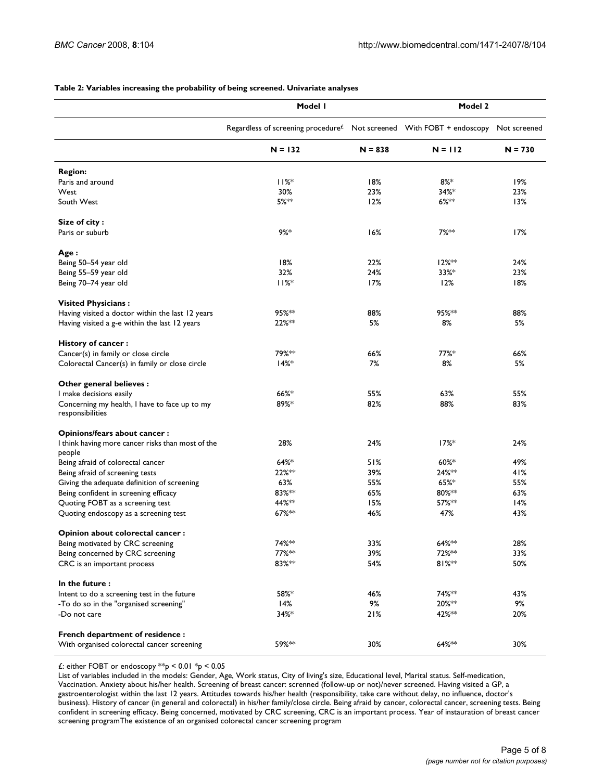|                                                                   | Model I                                                                                        | Model 2   |           |           |
|-------------------------------------------------------------------|------------------------------------------------------------------------------------------------|-----------|-----------|-----------|
|                                                                   | Regardless of screening procedure <sup>£</sup> Not screened With FOBT + endoscopy Not screened |           |           |           |
|                                                                   | $N = 132$                                                                                      | $N = 838$ | $N = 112$ | $N = 730$ |
| <b>Region:</b>                                                    |                                                                                                |           |           |           |
| Paris and around                                                  | 11%                                                                                            | 18%       | $8\%*$    | 19%       |
| West                                                              | 30%                                                                                            | 23%       | $34%$ *   | 23%       |
| South West                                                        | 5%**                                                                                           | 12%       | $6%^{**}$ | 13%       |
| Size of city:                                                     |                                                                                                |           |           |           |
| Paris or suburb                                                   | $9%$ *                                                                                         | 16%       | 7%**      | 17%       |
| Age :                                                             |                                                                                                |           |           |           |
| Being 50-54 year old                                              | 18%                                                                                            | 22%       | 12%**     | 24%       |
| Being 55-59 year old                                              | 32%                                                                                            | 24%       | 33%*      | 23%       |
| Being 70-74 year old                                              | 11%                                                                                            | 17%       | 12%       | 18%       |
| <b>Visited Physicians:</b>                                        |                                                                                                |           |           |           |
| Having visited a doctor within the last 12 years                  | 95%**                                                                                          | 88%       | 95%**     | 88%       |
| Having visited a g-e within the last 12 years                     | 22%**                                                                                          | 5%        | 8%        | 5%        |
| History of cancer:                                                |                                                                                                |           |           |           |
| Cancer(s) in family or close circle                               | 79%**                                                                                          | 66%       | $77\%$ *  | 66%       |
| Colorectal Cancer(s) in family or close circle                    | $14%$ *                                                                                        | 7%        | 8%        | 5%        |
| Other general believes:                                           |                                                                                                |           |           |           |
| I make decisions easily                                           | $66%$ *                                                                                        | 55%       | 63%       | 55%       |
| Concerning my health, I have to face up to my<br>responsibilities | 89%*                                                                                           | 82%       | 88%       | 83%       |
| Opinions/fears about cancer:                                      |                                                                                                |           |           |           |
| I think having more cancer risks than most of the                 | 28%                                                                                            | 24%       | $17%$ *   | 24%       |
| people                                                            |                                                                                                |           |           |           |
| Being afraid of colorectal cancer                                 | $64%$ *                                                                                        | 51%       | $60\%$ *  | 49%       |
| Being afraid of screening tests                                   | 22%**                                                                                          | 39%       | 24%**     | 41%       |
| Giving the adequate definition of screening                       | 63%                                                                                            | 55%       | $65%$ *   | 55%       |
| Being confident in screening efficacy                             | 83%**                                                                                          | 65%       | 80%**     | 63%       |
| Quoting FOBT as a screening test                                  | 44% **                                                                                         | 15%       | 57%**     | 14%       |
| Quoting endoscopy as a screening test                             | 67%**                                                                                          | 46%       | 47%       | 43%       |
| Opinion about colorectal cancer :                                 |                                                                                                |           |           |           |
| Being motivated by CRC screening                                  | 74%**                                                                                          | 33%       | 64%**     | 28%       |
| Being concerned by CRC screening                                  | 77%**                                                                                          | 39%       | 72%**     | 33%       |
| CRC is an important process                                       | 83%**                                                                                          | 54%       | $81%***$  | 50%       |
| In the future:                                                    |                                                                                                |           |           |           |
| Intent to do a screening test in the future                       | 58%*                                                                                           | 46%       | 74%**     | 43%       |
| -To do so in the "organised screening"                            | 14%                                                                                            | 9%        | 20%**     | 9%        |
| -Do not care                                                      | $34%$ *                                                                                        | 21%       | 42%**     | 20%       |
| <b>French department of residence:</b>                            |                                                                                                |           |           |           |
| With organised colorectal cancer screening                        | 59%**                                                                                          | 30%       | 64%**     | 30%       |

#### **Table 2: Variables increasing the probability of being screened. Univariate analyses**

£: either FOBT or endoscopy  $*$  $p$  < 0.01  $*$  $p$  < 0.05

List of variables included in the models: Gender, Age, Work status, City of living's size, Educational level, Marital status. Self-medication, Vaccination. Anxiety about his/her health. Screening of breast cancer: screnned (follow-up or not)/never screened. Having visited a GP, a gastroenterologist within the last 12 years. Attitudes towards his/her health (responsibility, take care without delay, no influence, doctor's business). History of cancer (in general and colorectal) in his/her family/close circle. Being afraid by cancer, colorectal cancer, screening tests. Being confident in screening efficacy. Being concerned, motivated by CRC screening, CRC is an important process. Year of instauration of breast cancer screening programThe existence of an organised colorectal cancer screening program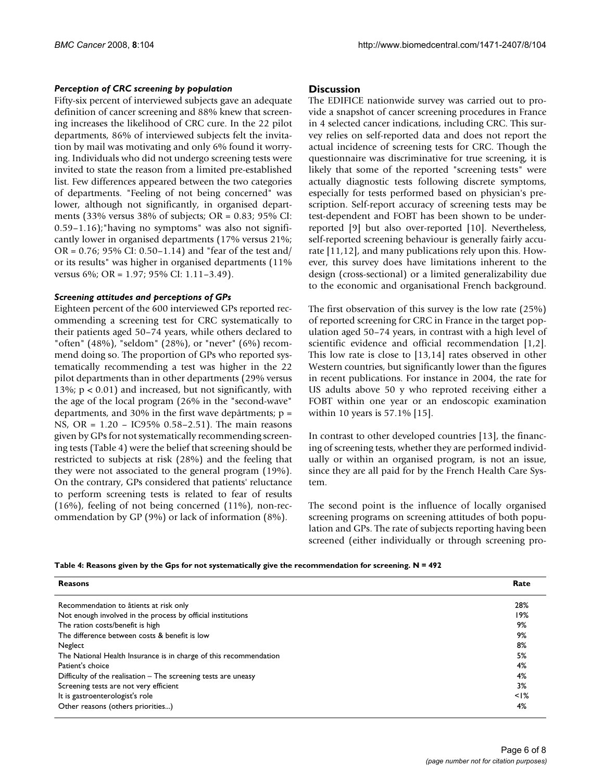#### *Perception of CRC screening by population*

Fifty-six percent of interviewed subjects gave an adequate definition of cancer screening and 88% knew that screening increases the likelihood of CRC cure. In the 22 pilot departments, 86% of interviewed subjects felt the invitation by mail was motivating and only 6% found it worrying. Individuals who did not undergo screening tests were invited to state the reason from a limited pre-established list. Few differences appeared between the two categories of departments. "Feeling of not being concerned" was lower, although not significantly, in organised departments (33% versus 38% of subjects; OR = 0.83; 95% CI: 0.59–1.16);"having no symptoms" was also not significantly lower in organised departments (17% versus 21%; OR = 0.76; 95% CI: 0.50–1.14) and "fear of the test and/ or its results" was higher in organised departments (11% versus 6%; OR = 1.97; 95% CI: 1.11-3.49).

#### *Screening attitudes and perceptions of GPs*

Eighteen percent of the 600 interviewed GPs reported recommending a screening test for CRC systematically to their patients aged 50–74 years, while others declared to "often" (48%), "seldom" (28%), or "never" (6%) recommend doing so. The proportion of GPs who reported systematically recommending a test was higher in the 22 pilot departments than in other departments (29% versus 13%;  $p < 0.01$ ) and increased, but not significantly, with the age of the local program (26% in the "second-wave" departments, and 30% in the first wave depârtments;  $p =$ NS, OR = 1.20 – IC95% 0.58–2.51). The main reasons given by GPs for not systematically recommending screening tests (Table 4) were the belief that screening should be restricted to subjects at risk (28%) and the feeling that they were not associated to the general program (19%). On the contrary, GPs considered that patients' reluctance to perform screening tests is related to fear of results (16%), feeling of not being concerned (11%), non-recommendation by GP (9%) or lack of information (8%).

#### **Discussion**

The EDIFICE nationwide survey was carried out to provide a snapshot of cancer screening procedures in France in 4 selected cancer indications, including CRC. This survey relies on self-reported data and does not report the actual incidence of screening tests for CRC. Though the questionnaire was discriminative for true screening, it is likely that some of the reported "screening tests" were actually diagnostic tests following discrete symptoms, especially for tests performed based on physician's prescription. Self-report accuracy of screening tests may be test-dependent and FOBT has been shown to be underreported [9] but also over-reported [10]. Nevertheless, self-reported screening behaviour is generally fairly accurate [11,12], and many publications rely upon this. However, this survey does have limitations inherent to the design (cross-sectional) or a limited generalizability due to the economic and organisational French background.

The first observation of this survey is the low rate (25%) of reported screening for CRC in France in the target population aged 50–74 years, in contrast with a high level of scientific evidence and official recommendation [1,2]. This low rate is close to [13,14] rates observed in other Western countries, but significantly lower than the figures in recent publications. For instance in 2004, the rate for US adults above 50 y who reproted receiving either a FOBT within one year or an endoscopic examination within 10 years is 57.1% [15].

In contrast to other developed countries [13], the financing of screening tests, whether they are performed individually or within an organised program, is not an issue, since they are all paid for by the French Health Care System.

The second point is the influence of locally organised screening programs on screening attitudes of both population and GPs. The rate of subjects reporting having been screened (either individually or through screening pro-

|  |  | Table 4: Reasons given by the Gps for not systematically give the recommendation for screening. $N = 492$ |  |
|--|--|-----------------------------------------------------------------------------------------------------------|--|
|  |  |                                                                                                           |  |

| <b>Reasons</b>                                                    | Rate      |
|-------------------------------------------------------------------|-----------|
| Recommendation to âtients at risk only                            | 28%       |
| Not enough involved in the process by official institutions       | 19%       |
| The ration costs/benefit is high                                  | 9%        |
| The difference between costs & benefit is low                     | 9%        |
| Neglect                                                           | 8%        |
| The National Health Insurance is in charge of this recommendation | 5%        |
| Patient's choice                                                  | 4%        |
| Difficulty of the realisation $-$ The screening tests are uneasy  | 4%        |
| Screening tests are not very efficient                            | 3%        |
| It is gastroenterologist's role                                   | $\leq$  % |
| Other reasons (others priorities)                                 | 4%        |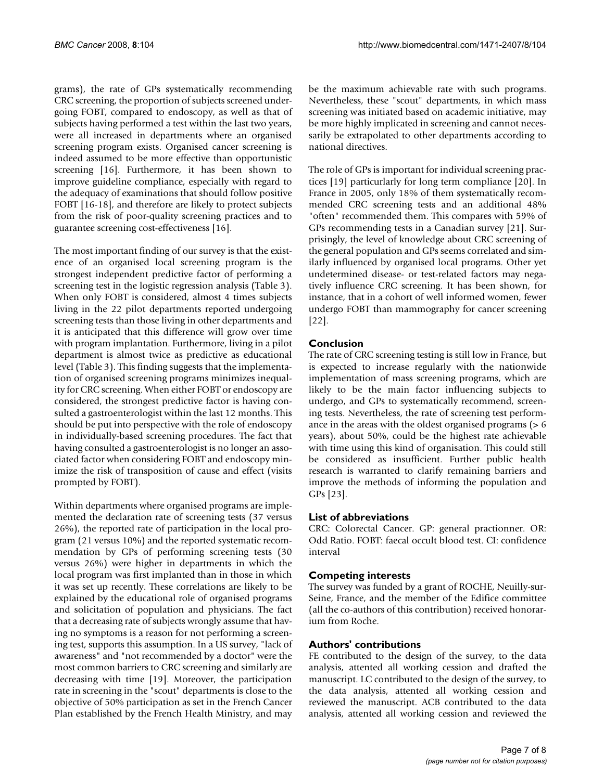grams), the rate of GPs systematically recommending CRC screening, the proportion of subjects screened undergoing FOBT, compared to endoscopy, as well as that of subjects having performed a test within the last two years, were all increased in departments where an organised screening program exists. Organised cancer screening is indeed assumed to be more effective than opportunistic screening [16]. Furthermore, it has been shown to improve guideline compliance, especially with regard to the adequacy of examinations that should follow positive FOBT [16-18], and therefore are likely to protect subjects from the risk of poor-quality screening practices and to guarantee screening cost-effectiveness [16].

The most important finding of our survey is that the existence of an organised local screening program is the strongest independent predictive factor of performing a screening test in the logistic regression analysis (Table 3). When only FOBT is considered, almost 4 times subjects living in the 22 pilot departments reported undergoing screening tests than those living in other departments and it is anticipated that this difference will grow over time with program implantation. Furthermore, living in a pilot department is almost twice as predictive as educational level (Table 3). This finding suggests that the implementation of organised screening programs minimizes inequality for CRC screening. When either FOBT or endoscopy are considered, the strongest predictive factor is having consulted a gastroenterologist within the last 12 months. This should be put into perspective with the role of endoscopy in individually-based screening procedures. The fact that having consulted a gastroenterologist is no longer an associated factor when considering FOBT and endoscopy minimize the risk of transposition of cause and effect (visits prompted by FOBT).

Within departments where organised programs are implemented the declaration rate of screening tests (37 versus 26%), the reported rate of participation in the local program (21 versus 10%) and the reported systematic recommendation by GPs of performing screening tests (30 versus 26%) were higher in departments in which the local program was first implanted than in those in which it was set up recently. These correlations are likely to be explained by the educational role of organised programs and solicitation of population and physicians. The fact that a decreasing rate of subjects wrongly assume that having no symptoms is a reason for not performing a screening test, supports this assumption. In a US survey, "lack of awareness" and "not recommended by a doctor" were the most common barriers to CRC screening and similarly are decreasing with time [19]. Moreover, the participation rate in screening in the "scout" departments is close to the objective of 50% participation as set in the French Cancer Plan established by the French Health Ministry, and may be the maximum achievable rate with such programs. Nevertheless, these "scout" departments, in which mass screening was initiated based on academic initiative, may be more highly implicated in screening and cannot necessarily be extrapolated to other departments according to national directives.

The role of GPs is important for individual screening practices [19] particurlarly for long term compliance [20]. In France in 2005, only 18% of them systematically recommended CRC screening tests and an additional 48% "often" recommended them. This compares with 59% of GPs recommending tests in a Canadian survey [21]. Surprisingly, the level of knowledge about CRC screening of the general population and GPs seems correlated and similarly influenced by organised local programs. Other yet undetermined disease- or test-related factors may negatively influence CRC screening. It has been shown, for instance, that in a cohort of well informed women, fewer undergo FOBT than mammography for cancer screening [22].

#### **Conclusion**

The rate of CRC screening testing is still low in France, but is expected to increase regularly with the nationwide implementation of mass screening programs, which are likely to be the main factor influencing subjects to undergo, and GPs to systematically recommend, screening tests. Nevertheless, the rate of screening test performance in the areas with the oldest organised programs (> 6 years), about 50%, could be the highest rate achievable with time using this kind of organisation. This could still be considered as insufficient. Further public health research is warranted to clarify remaining barriers and improve the methods of informing the population and GPs [23].

#### **List of abbreviations**

CRC: Colorectal Cancer. GP: general practionner. OR: Odd Ratio. FOBT: faecal occult blood test. CI: confidence interval

#### **Competing interests**

The survey was funded by a grant of ROCHE, Neuilly-sur-Seine, France, and the member of the Edifice committee (all the co-authors of this contribution) received honorarium from Roche.

#### **Authors' contributions**

FE contributed to the design of the survey, to the data analysis, attented all working cession and drafted the manuscript. LC contributed to the design of the survey, to the data analysis, attented all working cession and reviewed the manuscript. ACB contributed to the data analysis, attented all working cession and reviewed the